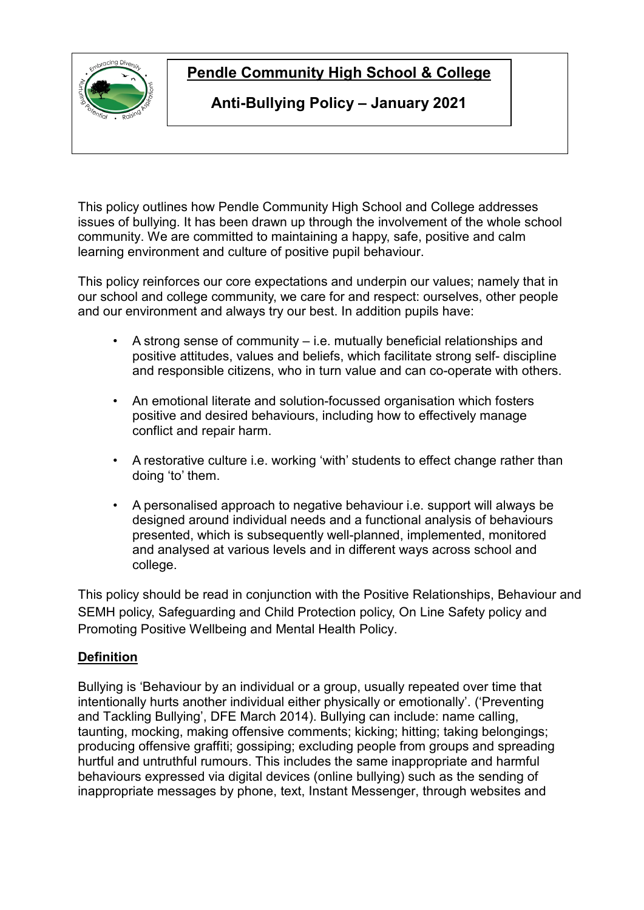

# **Pendle Community High School & College**

## **Anti-Bullying Policy – January 2021**

This policy outlines how Pendle Community High School and College addresses issues of bullying. It has been drawn up through the involvement of the whole school community. We are committed to maintaining a happy, safe, positive and calm learning environment and culture of positive pupil behaviour.

This policy reinforces our core expectations and underpin our values; namely that in our school and college community, we care for and respect: ourselves, other people and our environment and always try our best. In addition pupils have:

- A strong sense of community i.e. mutually beneficial relationships and positive attitudes, values and beliefs, which facilitate strong self- discipline and responsible citizens, who in turn value and can co-operate with others.
- An emotional literate and solution-focussed organisation which fosters positive and desired behaviours, including how to effectively manage conflict and repair harm.
- A restorative culture i.e. working 'with' students to effect change rather than doing 'to' them.
- A personalised approach to negative behaviour i.e. support will always be designed around individual needs and a functional analysis of behaviours presented, which is subsequently well-planned, implemented, monitored and analysed at various levels and in different ways across school and college.

This policy should be read in conjunction with the Positive Relationships, Behaviour and SEMH policy, Safeguarding and Child Protection policy, On Line Safety policy and Promoting Positive Wellbeing and Mental Health Policy.

## **Definition**

Bullying is 'Behaviour by an individual or a group, usually repeated over time that intentionally hurts another individual either physically or emotionally'. ('Preventing and Tackling Bullying', DFE March 2014). Bullying can include: name calling, taunting, mocking, making offensive comments; kicking; hitting; taking belongings; producing offensive graffiti; gossiping; excluding people from groups and spreading hurtful and untruthful rumours. This includes the same inappropriate and harmful behaviours expressed via digital devices (online bullying) such as the sending of inappropriate messages by phone, text, Instant Messenger, through websites and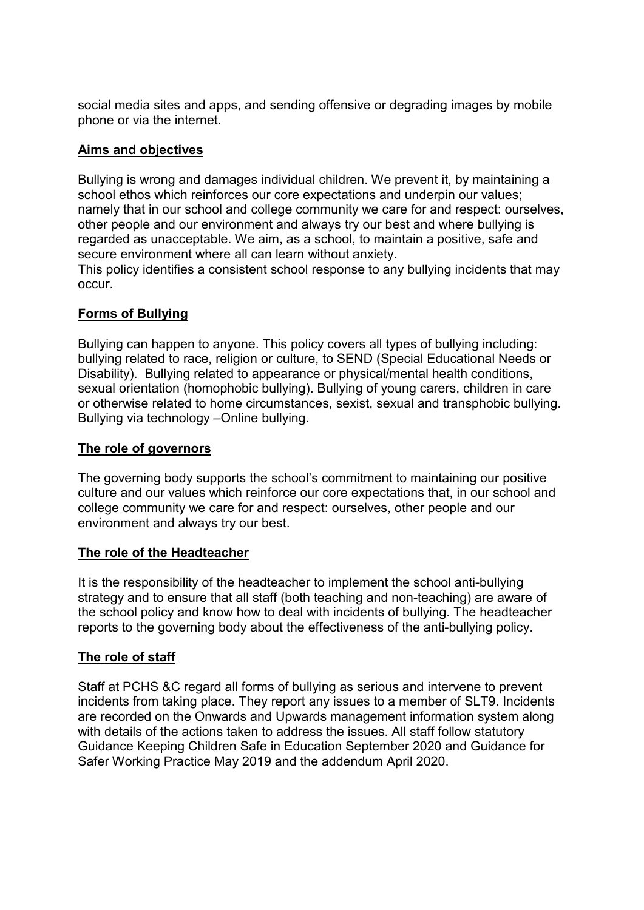social media sites and apps, and sending offensive or degrading images by mobile phone or via the internet.

#### **Aims and objectives**

Bullying is wrong and damages individual children. We prevent it, by maintaining a school ethos which reinforces our core expectations and underpin our values; namely that in our school and college community we care for and respect: ourselves, other people and our environment and always try our best and where bullying is regarded as unacceptable. We aim, as a school, to maintain a positive, safe and secure environment where all can learn without anxiety.

This policy identifies a consistent school response to any bullying incidents that may occur.

### **Forms of Bullying**

Bullying can happen to anyone. This policy covers all types of bullying including: bullying related to race, religion or culture, to SEND (Special Educational Needs or Disability). Bullying related to appearance or physical/mental health conditions, sexual orientation (homophobic bullying). Bullying of young carers, children in care or otherwise related to home circumstances, sexist, sexual and transphobic bullying. Bullying via technology –Online bullying.

#### **The role of governors**

The governing body supports the school's commitment to maintaining our positive culture and our values which reinforce our core expectations that, in our school and college community we care for and respect: ourselves, other people and our environment and always try our best.

#### **The role of the Headteacher**

It is the responsibility of the headteacher to implement the school anti-bullying strategy and to ensure that all staff (both teaching and non-teaching) are aware of the school policy and know how to deal with incidents of bullying. The headteacher reports to the governing body about the effectiveness of the anti-bullying policy.

#### **The role of staff**

Staff at PCHS &C regard all forms of bullying as serious and intervene to prevent incidents from taking place. They report any issues to a member of SLT9. Incidents are recorded on the Onwards and Upwards management information system along with details of the actions taken to address the issues. All staff follow statutory Guidance Keeping Children Safe in Education September 2020 and Guidance for Safer Working Practice May 2019 and the addendum April 2020.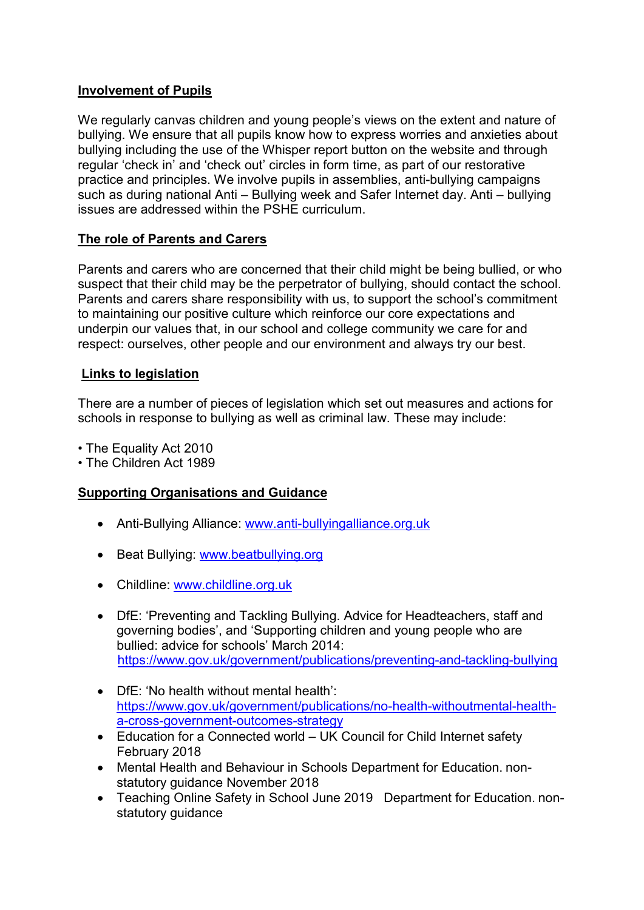#### **Involvement of Pupils**

We regularly canvas children and young people's views on the extent and nature of bullying. We ensure that all pupils know how to express worries and anxieties about bullying including the use of the Whisper report button on the website and through regular 'check in' and 'check out' circles in form time, as part of our restorative practice and principles. We involve pupils in assemblies, anti-bullying campaigns such as during national Anti – Bullying week and Safer Internet day. Anti – bullying issues are addressed within the PSHE curriculum.

#### **The role of Parents and Carers**

Parents and carers who are concerned that their child might be being bullied, or who suspect that their child may be the perpetrator of bullying, should contact the school. Parents and carers share responsibility with us, to support the school's commitment to maintaining our positive culture which reinforce our core expectations and underpin our values that, in our school and college community we care for and respect: ourselves, other people and our environment and always try our best.

#### **Links to legislation**

There are a number of pieces of legislation which set out measures and actions for schools in response to bullying as well as criminal law. These may include:

- The Equality Act 2010
- The Children Act 1989

#### **Supporting Organisations and Guidance**

- Anti-Bullying Alliance: [www.anti-bullyingalliance.org.uk](http://www.anti-bullyingalliance.org.uk/)
- Beat Bullying: [www.beatbullying.org](http://www.beatbullying.org/)
- Childline: [www.childline.org.uk](http://www.childline.org.uk/)
- DfE: 'Preventing and Tackling Bullying. Advice for Headteachers, staff and governing bodies', and 'Supporting children and young people who are bullied: advice for schools' March 2014: <https://www.gov.uk/government/publications/preventing-and-tackling-bullying>
- DfE: 'No health without mental health': [https://www.gov.uk/government/publications/no-health-withoutmental-health](https://www.gov.uk/government/publications/no-health-withoutmental-health-a-cross-government-outcomes-strategy)[a-cross-government-outcomes-strategy](https://www.gov.uk/government/publications/no-health-withoutmental-health-a-cross-government-outcomes-strategy)
- Education for a Connected world UK Council for Child Internet safety February 2018
- Mental Health and Behaviour in Schools Department for Education. nonstatutory guidance November 2018
- Teaching Online Safety in School June 2019 Department for Education. nonstatutory guidance